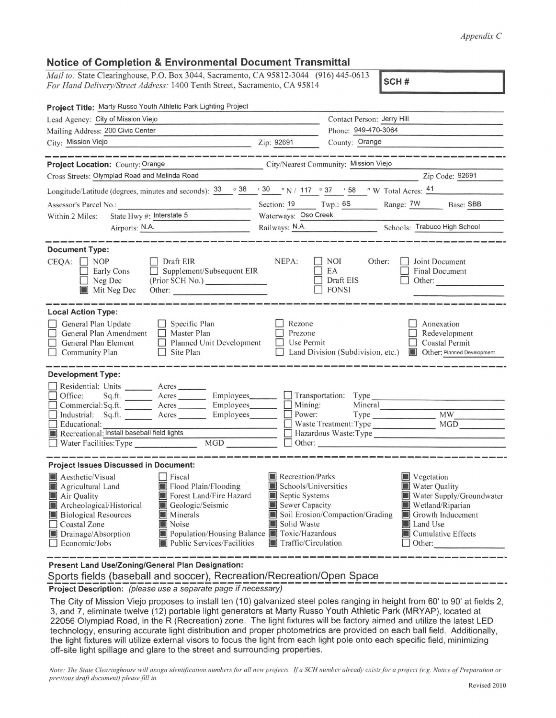## *Appendix C*

## **Notice of Completion** & **Environmental Document Transmittal**

*Mail to: State Clearinghouse, P.O. Box 3044, Sacramento, CA 95812-3044 (916) 445-0613 For Hand Delivery/Street Address:* 1400 Tenth Street, Sacramento, CA 95814 **SCH #** 

**Project Title:** Marty Russo Youth Athletic Park Lighting Project Lead Agency: City of Mission Viejo Contact Person: Jerry Hill Contact Person: Jerry Hill Contact Person: Jerry Hill Phone: 949-470-3064 City: Mission Viejo **Zip: 200 County: 200 County: 200 County: 2**<br>City: Mission Viejo **Zip: 92691** County: Orange **Project Location:** County: ------------- Orange City/Nearest Community: \_\_\_\_ Mission Viejo ....;\_ \_\_\_\_\_\_\_\_\_\_\_ \_ Cross Streets: Olympiad Road and Melinda Road Zip Code: \_92\_6\_9\_1 \_\_ \_ Longitude/Latitude (degrees, minutes and seconds):  $\frac{33}{10}$   $\frac{38}{10}$   $\frac{38}{10}$   $\frac{38}{10}$   $\frac{37}{10}$   $\frac{37}{10}$   $\frac{37}{10}$   $\frac{38}{10}$   $\frac{37}{10}$   $\frac{38}{10}$   $\frac{37}{10}$   $\frac{37}{10}$   $\frac{37}{10}$   $\frac{37}{10}$   $\$ 1  $\overline{\phantom{a}}$ Within 2 Miles: State Hwy #: Interstate 5 Waterways: \_O\_s\_o\_C\_re\_e\_k \_\_\_\_\_\_\_\_\_\_\_\_\_\_\_\_\_ \_ Railways: N.A. Schools: Trabuco High School **Document Type:**   $CEOA: \Box NOP$ □ Early Cons Neg Dec **III** Mit Neg Dec **Local Action Type:**  General Plan Update General Plan Amendment General Plan Element Community Plan **Development Type:**  □ Draft EIR □ Supplement/Subsequent EIR □ Supplement/Subsequent EIR<br>(Prior SCH No.) Other: \_\_\_\_\_\_\_\_\_ \_ □ Specific Plan □ Master Plan □ Planned Unit Development  $\Box$  Site Plan Residential: Units \_\_\_\_\_\_\_ Acres \_<br>Office: Sq.ft. Acres  $NEPA: \Box \text{NOI}$  Other: □ □ I Leone<br>□ Use Permit 吕. □ Land Division (Subdivision, etc.) ■ Other: Planned Development Rezone EA Draft EIS **FONSI** Prezone  $\Box$  Joint Document  $\Box$  Final Document<br>  $\Box$  Other:  $\Box$  Other: Annexation □ Redevelopment □ Coastal Permit D Office: Sq.ft. Acres D Commercial:Sq.ft. --- Acres D Industrial: Sq.ft. --- Acres Employees D Transportation: Type <br>
Employees D Mining: Mineral D Commercial Sq. ft.<br>
Industrial: Sq. ft.<br>
D Educational: Employees\_\_\_ D Power: Type \_\_\_\_\_\_\_ ------------- **MW \_\_\_\_ \_**  Industrial: Sq.ft. \_\_\_\_\_\_ Acres \_\_\_\_\_\_ Employees \_\_\_\_\_\_ | Power: Type \_\_\_\_\_\_\_<br>
Educational: Install baseball field lights <br>
Recreational: Install baseball field lights <br>
Hazardous Waste:Type Recreational: Install baseball field lights D Hazardous D Hazardous Waster Facilities: Type MGD  $\Box$  D Other:  $\Box$  Water Facilities: Type **Project Issues Discussed in Document: Example 3 Aesthetic/Visual Aesthetic/Visual D** Fiscal **III** Recreation/Parks<br> **Example 2** Recreation/Parks **C** Agricultural Land **II** Flood Plain/Flooding **I** Schools/Universities III Flood Plain/Flooding III Schools/Universities III Schools/Universities In Section Points In Section Points In Section Points III Section Points III Section Points III Section Points III Section Points III Section Point **III** Air Quality **III** Forest Land/Fire Hazard **III** Septic Systems **III** Archeological/Historical **II** Geologic/Seismic **II** Sewer Capacity III Archeological/Historical III Geological<br>
III Biological Resources III Minerals **[j] Minerals iii** Soil Erosion/Compaction/Grading **III** Noise **III** Solid Waste □ Coastal Zone<br>■ Drainage/Absorption **I**Vegetation **I** Water Quality **I**III Water Supply/Groundwater **I**Wetland/Riparian **Iii** Growth Inducement **I**I Land Use

**Present Land Use/Zoning/General Plan Designation:** 

Sports fields (baseball and soccer), Recreation/Recreation/Open Space \_\_\_\_\_\_\_\_\_\_\_\_\_\_\_\_ \_

■ Drainage/Absorption ■ Population/Housing Balance ■ Toxic/Hazardous <br>
■ Economic/Jobs ■ Public Services/Facilities Traffic/Circulation **Public Services/Facilities** 

**Project Description:** (please use a separate page if necessary)

The City of Mission Viejo proposes to install ten (10) galvanized steel poles ranging in height from 60' to 90' at fields 2, 3, and 7, eliminate twelve (12) portable light generators at Marty Russo Youth Athletic Park (MRYAP), located at 22056 Olympiad Road , in the R (Recreation) zone. The light fixtures will be factory aimed and utilize the latest LED technology, ensuring accurate light distribution and proper photometrics are provided on each ball field. Additionally, the light fixtures will utilize external visors to focus the light from each light pole onto each specific field, minimizing off-site light spillage and glare to the street and surrounding properties.

*Note: The State Clearinghouse will assign identification numbers for all new projects. If a SCH number already exists for a project (e.g. Notice of Preparation or previous draft document) please.fill in.* 

Ii] Cumul ative Effects D Other: -------